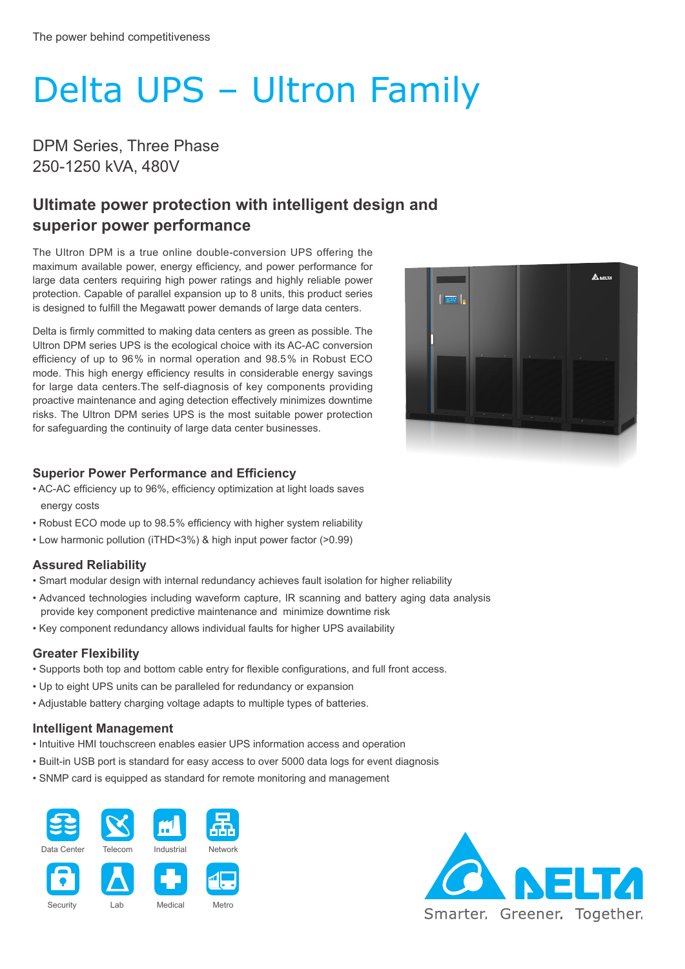# Delta UPS – Ultron Family

DPM Series, Three Phase 250-1250 kVA, 480V

## **Ultimate power protection with intelligent design and superior power performance**

The Ultron DPM is a true online double-conversion UPS offering the maximum available power, energy efficiency, and power performance for large data centers requiring high power ratings and highly reliable power protection. Capable of parallel expansion up to 8 units, this product series is designed to fulfill the Megawatt power demands of large data centers.

Delta is firmly committed to making data centers as green as possible. The Ultron DPM series UPS is the ecological choice with its AC-AC conversion efficiency of up to 96 % in normal operation and 98.5 % in Robust ECO mode. This high energy efficiency results in considerable energy savings for large data centers.The self-diagnosis of key components providing proactive maintenance and aging detection effectively minimizes downtime risks. The Ultron DPM series UPS is the most suitable power protection for safeguarding the continuity of large data center businesses.



### **Superior Power Performance and Efficiency**

- AC-AC efficiency up to 96%, efficiency optimization at light loads saves energy costs
- Robust ECO mode up to 98.5 % efficiency with higher system reliability
- Low harmonic pollution (iTHD<3%) & high input power factor (>0.99)

#### **Assured Reliability**

- Smart modular design with internal redundancy achieves fault isolation for higher reliability
- Advanced technologies including waveform capture, IR scanning and battery aging data analysis provide key component predictive maintenance and minimize downtime risk
- Key component redundancy allows individual faults for higher UPS availability

### **Greater Flexibility**

- Supports both top and bottom cable entry for flexible configurations, and full front access.
- Up to eight UPS units can be paralleled for redundancy or expansion
- Adjustable battery charging voltage adapts to multiple types of batteries.

#### **Intelligent Management**

- Intuitive HMI touchscreen enables easier UPS information access and operation
- Built-in USB port is standard for easy access to over 5000 data logs for event diagnosis
- SNMP card is equipped as standard for remote monitoring and management